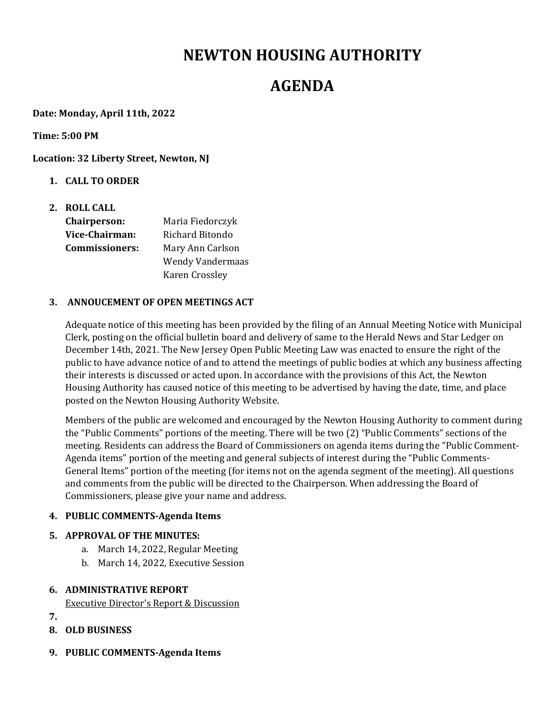# **NEWTON HOUSING AUTHORITY**

# **AGENDA**

**Date: Monday, April 11th, 2022**

**Time: 5:00 PM**

**Location: 32 Liberty Street, Newton, NJ**

- **1. CALL TO ORDER**
- **2. ROLL CALL Chairperson:**  Maria Fiedorczyk **Vice‐Chairman:** Richard Bitondo **Commissioners:** Mary Ann Carlson Wendy Vandermaas Karen Crossley

#### **3. ANNOUCEMENT OF OPEN MEETINGS ACT**

Adequate notice of this meeting has been provided by the filing of an Annual Meeting Notice with Municipal Clerk, posting on the official bulletin board and delivery of same to the Herald News and Star Ledger on December 14th, 2021. The New Jersey Open Public Meeting Law was enacted to ensure the right of the public to have advance notice of and to attend the meetings of public bodies at which any business affecting their interests is discussed or acted upon. In accordance with the provisions of this Act, the Newton Housing Authority has caused notice of this meeting to be advertised by having the date, time, and place posted on the Newton Housing Authority Website.

Members of the public are welcomed and encouraged by the Newton Housing Authority to comment during the "Public Comments" portions of the meeting. There will be two (2) "Public Comments" sections of the meeting. Residents can address the Board of Commissioners on agenda items during the "Public Comment-Agenda items" portion of the meeting and general subjects of interest during the "Public Comments-General Items" portion of the meeting (for items not on the agenda segment of the meeting). All questions and comments from the public will be directed to the Chairperson. When addressing the Board of Commissioners, please give your name and address.

## **4. PUBLIC COMMENTS‐Agenda Items**

## **5. APPROVAL OF THE MINUTES:**

- a. March 14, 2022, Regular Meeting
- b. March 14, 2022, Executive Session

## **6. ADMINISTRATIVE REPORT**

Executive Director's Report & Discussion

- **7.**
- **8. OLD BUSINESS**
- **9. PUBLIC COMMENTS‐Agenda Items**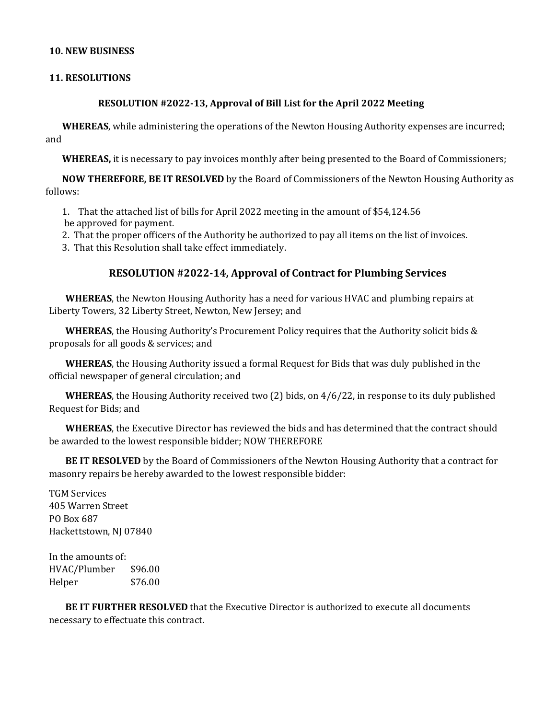#### **10. NEW BUSINESS**

#### **11. RESOLUTIONS**

#### **RESOLUTION #2022‐13, Approval of Bill List for the April 2022 Meeting**

**WHEREAS**, while administering the operations of the Newton Housing Authority expenses are incurred; and

**WHEREAS,** it is necessary to pay invoices monthly after being presented to the Board of Commissioners;

**NOW THEREFORE, BE IT RESOLVED** by the Board of Commissioners of the Newton Housing Authority as follows:

1. That the attached list of bills for April 2022 meeting in the amount of \$54,124.56

be approved for payment.

2. That the proper officers of the Authority be authorized to pay all items on the list of invoices.

3. That this Resolution shall take effect immediately.

## **RESOLUTION #2022‐14, Approval of Contract for Plumbing Services**

**WHEREAS**, the Newton Housing Authority has a need for various HVAC and plumbing repairs at Liberty Towers, 32 Liberty Street, Newton, New Jersey; and

**WHEREAS**, the Housing Authority's Procurement Policy requires that the Authority solicit bids & proposals for all goods & services; and

**WHEREAS**, the Housing Authority issued a formal Request for Bids that was duly published in the official newspaper of general circulation; and

**WHEREAS**, the Housing Authority received two (2) bids, on 4/6/22, in response to its duly published Request for Bids; and

**WHEREAS**, the Executive Director has reviewed the bids and has determined that the contract should be awarded to the lowest responsible bidder; NOW THEREFORE

**BE IT RESOLVED** by the Board of Commissioners of the Newton Housing Authority that a contract for masonry repairs be hereby awarded to the lowest responsible bidder:

TGM Services 405 Warren Street PO Box 687 Hackettstown, NJ 07840

In the amounts of: HVAC/Plumber \$96.00 Helper \$76.00

**BE IT FURTHER RESOLVED** that the Executive Director is authorized to execute all documents necessary to effectuate this contract.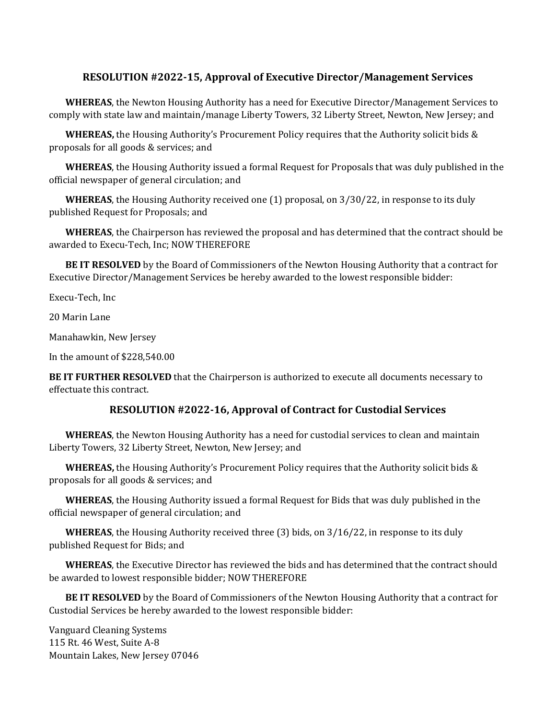# **RESOLUTION #2022‐15, Approval of Executive Director/Management Services**

**WHEREAS**, the Newton Housing Authority has a need for Executive Director/Management Services to comply with state law and maintain/manage Liberty Towers, 32 Liberty Street, Newton, New Jersey; and

**WHEREAS,** the Housing Authority's Procurement Policy requires that the Authority solicit bids & proposals for all goods & services; and

**WHEREAS**, the Housing Authority issued a formal Request for Proposals that was duly published in the official newspaper of general circulation; and

**WHEREAS**, the Housing Authority received one (1) proposal, on 3/30/22, in response to its duly published Request for Proposals; and

**WHEREAS**, the Chairperson has reviewed the proposal and has determined that the contract should be awarded to Execu-Tech, Inc; NOW THEREFORE

**BE IT RESOLVED** by the Board of Commissioners of the Newton Housing Authority that a contract for Executive Director/Management Services be hereby awarded to the lowest responsible bidder:

Execu-Tech, Inc

20 Marin Lane

Manahawkin, New Jersey

In the amount of \$228,540.00

**BE IT FURTHER RESOLVED** that the Chairperson is authorized to execute all documents necessary to effectuate this contract.

## **RESOLUTION #2022‐16, Approval of Contract for Custodial Services**

**WHEREAS**, the Newton Housing Authority has a need for custodial services to clean and maintain Liberty Towers, 32 Liberty Street, Newton, New Jersey; and

**WHEREAS,** the Housing Authority's Procurement Policy requires that the Authority solicit bids & proposals for all goods & services; and

**WHEREAS**, the Housing Authority issued a formal Request for Bids that was duly published in the official newspaper of general circulation; and

**WHEREAS**, the Housing Authority received three (3) bids, on 3/16/22, in response to its duly published Request for Bids; and

**WHEREAS**, the Executive Director has reviewed the bids and has determined that the contract should be awarded to lowest responsible bidder; NOW THEREFORE

**BE IT RESOLVED** by the Board of Commissioners of the Newton Housing Authority that a contract for Custodial Services be hereby awarded to the lowest responsible bidder:

Vanguard Cleaning Systems 115 Rt. 46 West, Suite A-8 Mountain Lakes, New Jersey 07046